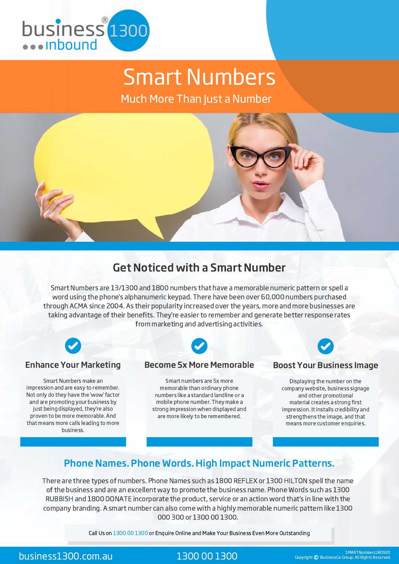

# Smart Numbers

Much More Than Just a Number



# Get Noticed with a Smart Number

Smart Numbers are 13/1300 and 1800 numbers that have a memorable numeric pattern or spell a word using the phone's alphanumeric keypad. There have been over 60,000 numbers purchased through ACMA since 2004. As their popularity increased over the years, more and more businesses are taking advantage of their benefits. They're easier to remember and generate better response rates from marketing and advertising activities.



#### Enhance Your Marketing

Smart Numbers make an impression and are easy to remember. Not only do they have the 'wow' factor and are promoting your business by just being displayed, they're also proven to be more memorable. And that means more calls leading to more business.

#### Become 5x More Memorable

Smart numbers are 5x more memorable than ordinary phone numbers like a standard landline or a mobile phone number. They make a strong impression when displayed and are more likely to be remembered.

#### Boost Your Business Image

Displaying the number on the company website, business signage and other promotional material creates a strong first impression. It installs credibility and strengthens the image, and that means more customer enquiries.

## Phone Names. Phone Words. High Impact Numeric Patterns.

There are three types of numbers. Phone Names such as 1800 REFLEX or 1300 HILTON spell the name of the business and are an excellent way to promote the business name. Phone Words such as 1300 RUBBISH and 1800 DONATE incorporate the product, service or an action word that's in line with the company branding. A smart number can also come with a highly memorable numeric pattern like 1300 000 300 or 1300 00 1300.

Call Us on 1300 00 1300 or Enquire Online and Make Your Business Even More Outstanding

**business1300.com.au** 1300 00 1300 COM Copyright © BusinessCo Group. All Rights Reserved.